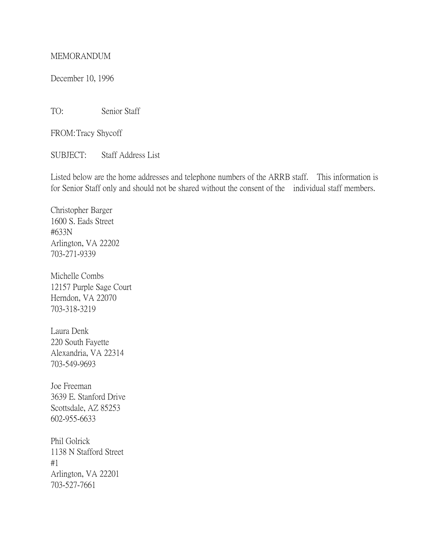## MEMORANDUM

December 10, 1996

TO: Senior Staff

FROM:Tracy Shycoff

SUBJECT: Staff Address List

Listed below are the home addresses and telephone numbers of the ARRB staff. This information is for Senior Staff only and should not be shared without the consent of the individual staff members.

Christopher Barger 1600 S. Eads Street #633N Arlington, VA 22202 703-271-9339

Michelle Combs 12157 Purple Sage Court Herndon, VA 22070 703-318-3219

Laura Denk 220 South Fayette Alexandria, VA 22314 703-549-9693

Joe Freeman 3639 E. Stanford Drive Scottsdale, AZ 85253 602-955-6633

Phil Golrick 1138 N Stafford Street #1 Arlington, VA 22201 703-527-7661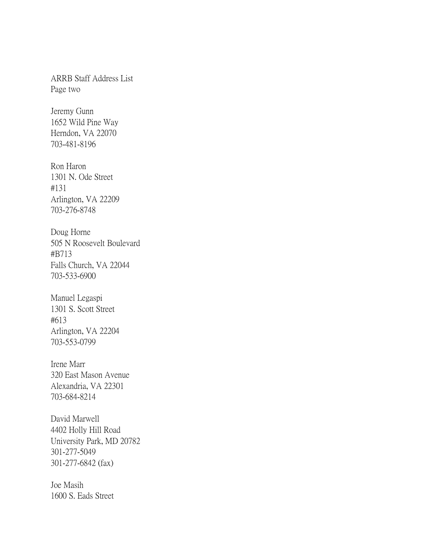ARRB Staff Address List Page two

Jeremy Gunn 1652 Wild Pine Way Herndon, VA 22070 703-481-8196

Ron Haron 1301 N. Ode Street #131 Arlington, VA 22209 703-276-8748

Doug Horne 505 N Roosevelt Boulevard #B713 Falls Church, VA 22044 703-533-6900

Manuel Legaspi 1301 S. Scott Street #613 Arlington, VA 22204 703-553-0799

Irene Marr 320 East Mason Avenue Alexandria, VA 22301 703-684-8214

David Marwell 4402 Holly Hill Road University Park, MD 20782 301-277-5049 301-277-6842 (fax)

Joe Masih 1600 S. Eads Street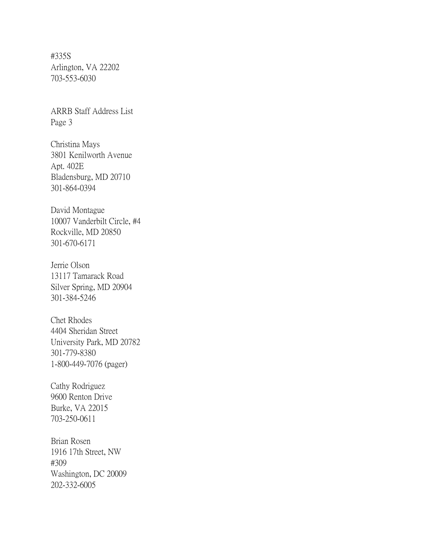#335S Arlington, VA 22202 703-553-6030

ARRB Staff Address List Page 3

Christina Mays 3801 Kenilworth Avenue Apt. 402E Bladensburg, MD 20710 301-864-0394

David Montague 10007 Vanderbilt Circle, #4 Rockville, MD 20850 301-670-6171

Jerrie Olson 13117 Tamarack Road Silver Spring, MD 20904 301-384-5246

Chet Rhodes 4404 Sheridan Street University Park, MD 20782 301-779-8380 1-800-449-7076 (pager)

Cathy Rodriguez 9600 Renton Drive Burke, VA 22015 703-250-0611

Brian Rosen 1916 17th Street, NW #309 Washington, DC 20009 202-332-6005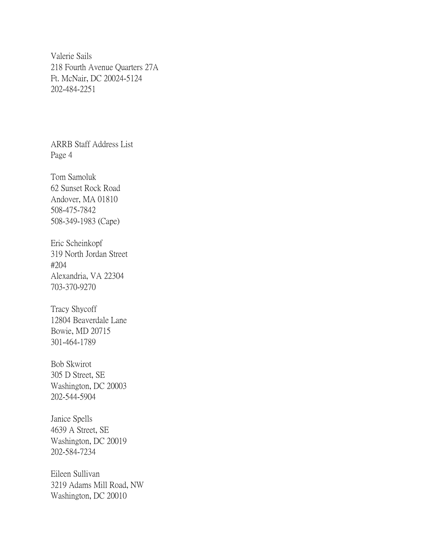Valerie Sails 218 Fourth Avenue Quarters 27A Ft. McNair, DC 20024-5124 202-484-2251

ARRB Staff Address List Page 4

Tom Samoluk 62 Sunset Rock Road Andover, MA 01810 508-475-7842 508-349-1983 (Cape)

Eric Scheinkopf 319 North Jordan Street #204 Alexandria, VA 22304 703-370-9270

Tracy Shycoff 12804 Beaverdale Lane Bowie, MD 20715 301-464-1789

Bob Skwirot 305 D Street, SE Washington, DC 20003 202-544-5904

Janice Spells 4639 A Street, SE Washington, DC 20019 202-584-7234

Eileen Sullivan 3219 Adams Mill Road, NW Washington, DC 20010